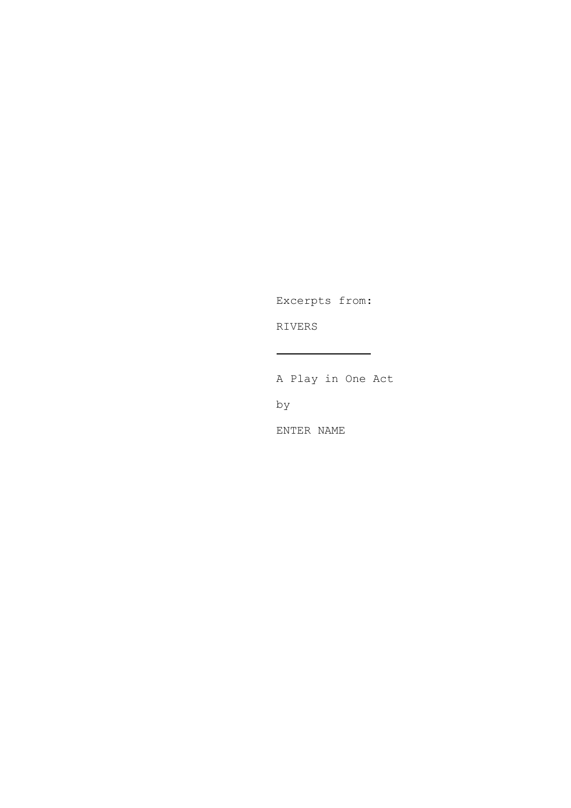Excerpts from:

RIVERS

A Play in One Act

by

ENTER NAME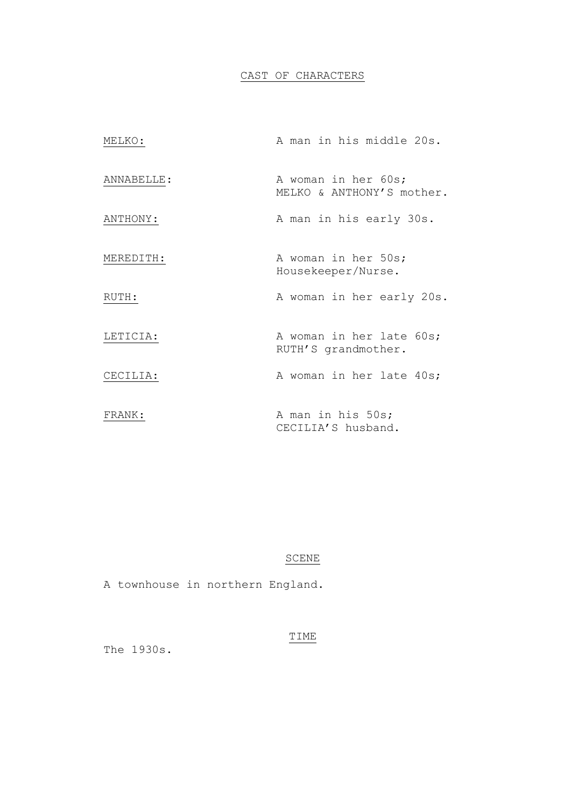# CAST OF CHARACTERS

| MELKO:     | A man in his middle 20s.                         |
|------------|--------------------------------------------------|
| ANNABELLE: | A woman in her 60s;<br>MELKO & ANTHONY'S mother. |
| ANTHONY:   | A man in his early 30s.                          |
| MEREDITH:  | A woman in her 50s;<br>Housekeeper/Nurse.        |
| RUTH:      | A woman in her early 20s.                        |
| LETICIA:   | A woman in her late 60s;<br>RUTH'S grandmother.  |
| CECILIA:   | A woman in her late 40s;                         |
| FRANK:     | A man in his 50s;<br>CECILIA'S husband.          |

# SCENE

A townhouse in northern England.

# TIME

The 1930s.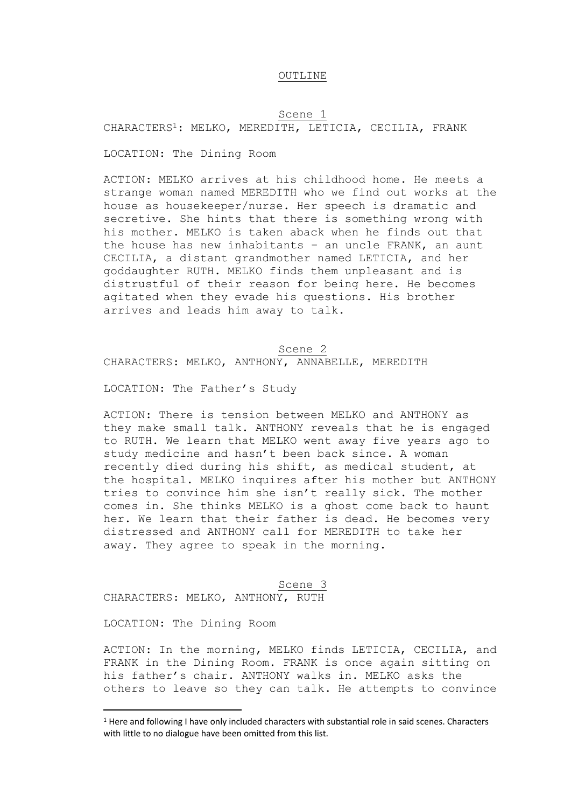## OUTLINE

# Scene 1 CHARACTERS1: MELKO, MEREDITH, LETICIA, CECILIA, FRANK

LOCATION: The Dining Room

ACTION: MELKO arrives at his childhood home. He meets a strange woman named MEREDITH who we find out works at the house as housekeeper/nurse. Her speech is dramatic and secretive. She hints that there is something wrong with his mother. MELKO is taken aback when he finds out that the house has new inhabitants – an uncle FRANK, an aunt CECILIA, a distant grandmother named LETICIA, and her goddaughter RUTH. MELKO finds them unpleasant and is distrustful of their reason for being here. He becomes agitated when they evade his questions. His brother arrives and leads him away to talk.

Scene 2 CHARACTERS: MELKO, ANTHONY, ANNABELLE, MEREDITH

LOCATION: The Father's Study

ACTION: There is tension between MELKO and ANTHONY as they make small talk. ANTHONY reveals that he is engaged to RUTH. We learn that MELKO went away five years ago to study medicine and hasn't been back since. A woman recently died during his shift, as medical student, at the hospital. MELKO inquires after his mother but ANTHONY tries to convince him she isn't really sick. The mother comes in. She thinks MELKO is a ghost come back to haunt her. We learn that their father is dead. He becomes very distressed and ANTHONY call for MEREDITH to take her away. They agree to speak in the morning.

Scene 3 CHARACTERS: MELKO, ANTHONY, RUTH

LOCATION: The Dining Room

ACTION: In the morning, MELKO finds LETICIA, CECILIA, and FRANK in the Dining Room. FRANK is once again sitting on his father's chair. ANTHONY walks in. MELKO asks the others to leave so they can talk. He attempts to convince

<sup>1</sup> Here and following I have only included characters with substantial role in said scenes. Characters with little to no dialogue have been omitted from this list.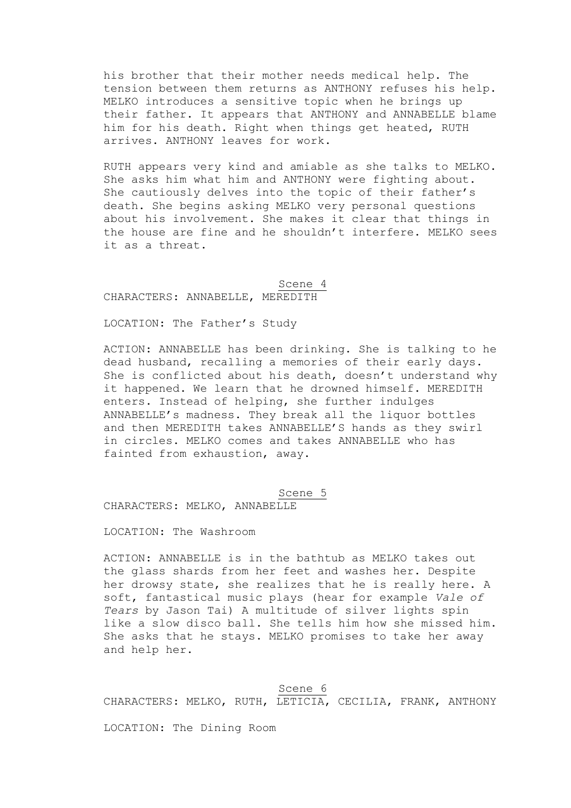his brother that their mother needs medical help. The tension between them returns as ANTHONY refuses his help. MELKO introduces a sensitive topic when he brings up their father. It appears that ANTHONY and ANNABELLE blame him for his death. Right when things get heated, RUTH arrives. ANTHONY leaves for work.

RUTH appears very kind and amiable as she talks to MELKO. She asks him what him and ANTHONY were fighting about. She cautiously delves into the topic of their father's death. She begins asking MELKO very personal questions about his involvement. She makes it clear that things in the house are fine and he shouldn't interfere. MELKO sees it as a threat.

## Scene 4 CHARACTERS: ANNABELLE, MEREDITH

LOCATION: The Father's Study

ACTION: ANNABELLE has been drinking. She is talking to he dead husband, recalling a memories of their early days. She is conflicted about his death, doesn't understand why it happened. We learn that he drowned himself. MEREDITH enters. Instead of helping, she further indulges ANNABELLE's madness. They break all the liquor bottles and then MEREDITH takes ANNABELLE'S hands as they swirl in circles. MELKO comes and takes ANNABELLE who has fainted from exhaustion, away.

Scene 5

CHARACTERS: MELKO, ANNABELLE

LOCATION: The Washroom

ACTION: ANNABELLE is in the bathtub as MELKO takes out the glass shards from her feet and washes her. Despite her drowsy state, she realizes that he is really here. A soft, fantastical music plays (hear for example *Vale of Tears* by Jason Tai) A multitude of silver lights spin like a slow disco ball. She tells him how she missed him. She asks that he stays. MELKO promises to take her away and help her.

#### Scene 6

CHARACTERS: MELKO, RUTH, LETICIA, CECILIA, FRANK, ANTHONY

LOCATION: The Dining Room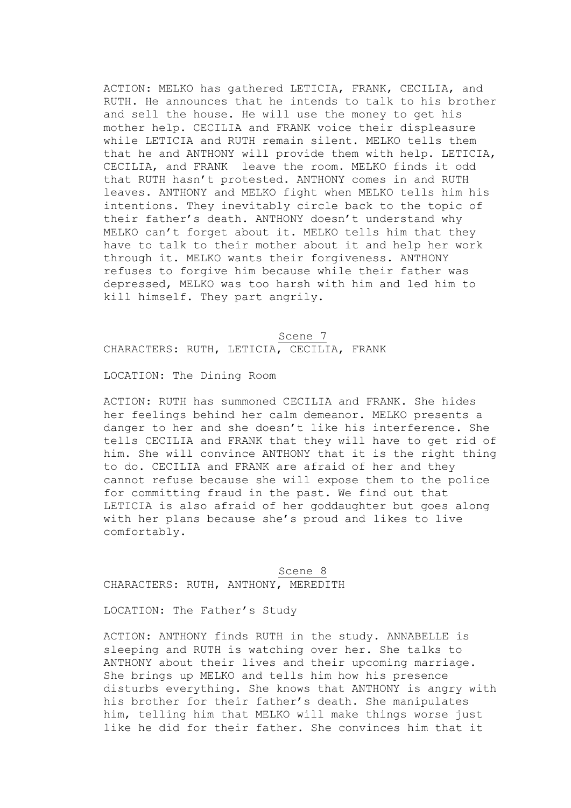ACTION: MELKO has gathered LETICIA, FRANK, CECILIA, and RUTH. He announces that he intends to talk to his brother and sell the house. He will use the money to get his mother help. CECILIA and FRANK voice their displeasure while LETICIA and RUTH remain silent. MELKO tells them that he and ANTHONY will provide them with help. LETICIA, CECILIA, and FRANK leave the room. MELKO finds it odd that RUTH hasn't protested. ANTHONY comes in and RUTH leaves. ANTHONY and MELKO fight when MELKO tells him his intentions. They inevitably circle back to the topic of their father's death. ANTHONY doesn't understand why MELKO can't forget about it. MELKO tells him that they have to talk to their mother about it and help her work through it. MELKO wants their forgiveness. ANTHONY refuses to forgive him because while their father was depressed, MELKO was too harsh with him and led him to kill himself. They part angrily.

# Scene 7 CHARACTERS: RUTH, LETICIA, CECILIA, FRANK

LOCATION: The Dining Room

ACTION: RUTH has summoned CECILIA and FRANK. She hides her feelings behind her calm demeanor. MELKO presents a danger to her and she doesn't like his interference. She tells CECILIA and FRANK that they will have to get rid of him. She will convince ANTHONY that it is the right thing to do. CECILIA and FRANK are afraid of her and they cannot refuse because she will expose them to the police for committing fraud in the past. We find out that LETICIA is also afraid of her goddaughter but goes along with her plans because she's proud and likes to live comfortably.

Scene 8 CHARACTERS: RUTH, ANTHONY, MEREDITH

LOCATION: The Father's Study

ACTION: ANTHONY finds RUTH in the study. ANNABELLE is sleeping and RUTH is watching over her. She talks to ANTHONY about their lives and their upcoming marriage. She brings up MELKO and tells him how his presence disturbs everything. She knows that ANTHONY is angry with his brother for their father's death. She manipulates him, telling him that MELKO will make things worse just like he did for their father. She convinces him that it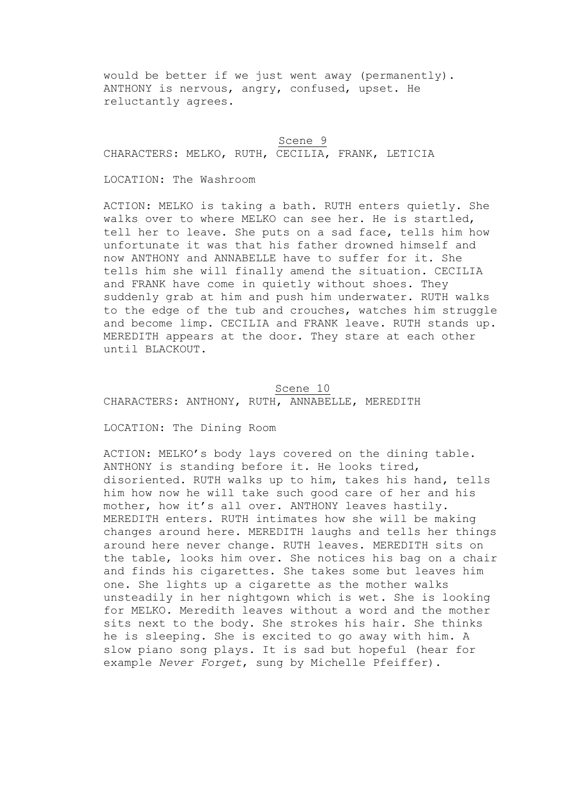would be better if we just went away (permanently). ANTHONY is nervous, angry, confused, upset. He reluctantly agrees.

# Scene 9

CHARACTERS: MELKO, RUTH, CECILIA, FRANK, LETICIA

LOCATION: The Washroom

ACTION: MELKO is taking a bath. RUTH enters quietly. She walks over to where MELKO can see her. He is startled, tell her to leave. She puts on a sad face, tells him how unfortunate it was that his father drowned himself and now ANTHONY and ANNABELLE have to suffer for it. She tells him she will finally amend the situation. CECILIA and FRANK have come in quietly without shoes. They suddenly grab at him and push him underwater. RUTH walks to the edge of the tub and crouches, watches him struggle and become limp. CECILIA and FRANK leave. RUTH stands up. MEREDITH appears at the door. They stare at each other until BLACKOUT.

# Scene 10

CHARACTERS: ANTHONY, RUTH, ANNABELLE, MEREDITH

LOCATION: The Dining Room

ACTION: MELKO's body lays covered on the dining table. ANTHONY is standing before it. He looks tired, disoriented. RUTH walks up to him, takes his hand, tells him how now he will take such good care of her and his mother, how it's all over. ANTHONY leaves hastily. MEREDITH enters. RUTH intimates how she will be making changes around here. MEREDITH laughs and tells her things around here never change. RUTH leaves. MEREDITH sits on the table, looks him over. She notices his bag on a chair and finds his cigarettes. She takes some but leaves him one. She lights up a cigarette as the mother walks unsteadily in her nightgown which is wet. She is looking for MELKO. Meredith leaves without a word and the mother sits next to the body. She strokes his hair. She thinks he is sleeping. She is excited to go away with him. A slow piano song plays. It is sad but hopeful (hear for example *Never Forget*, sung by Michelle Pfeiffer).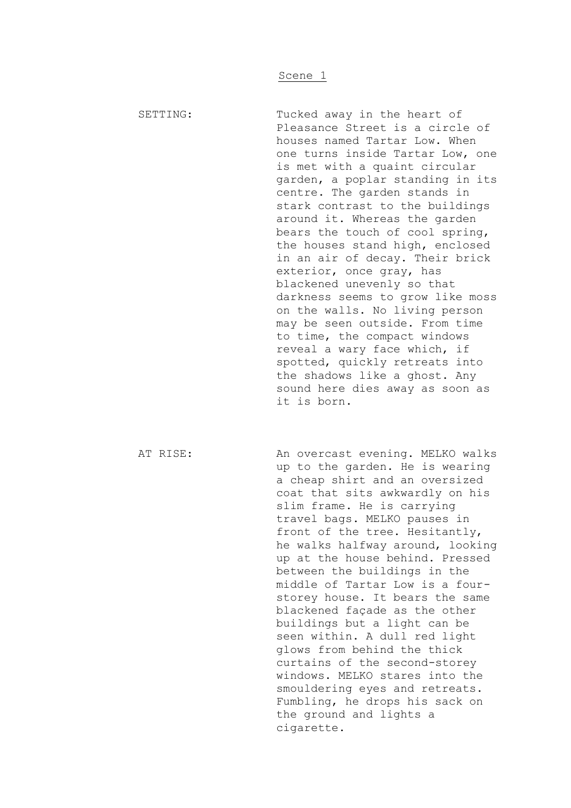SETTING: Tucked away in the heart of Pleasance Street is a circle of houses named Tartar Low. When one turns inside Tartar Low, one is met with a quaint circular garden, a poplar standing in its centre. The garden stands in stark contrast to the buildings around it. Whereas the garden bears the touch of cool spring, the houses stand high, enclosed in an air of decay. Their brick exterior, once gray, has blackened unevenly so that darkness seems to grow like moss on the walls. No living person may be seen outside. From time to time, the compact windows reveal a wary face which, if spotted, quickly retreats into the shadows like a ghost. Any sound here dies away as soon as it is born.

AT RISE: An overcast evening. MELKO walks up to the garden. He is wearing a cheap shirt and an oversized coat that sits awkwardly on his slim frame. He is carrying travel bags. MELKO pauses in front of the tree. Hesitantly, he walks halfway around, looking up at the house behind. Pressed between the buildings in the middle of Tartar Low is a fourstorey house. It bears the same blackened façade as the other buildings but a light can be seen within. A dull red light glows from behind the thick curtains of the second-storey windows. MELKO stares into the smouldering eyes and retreats. Fumbling, he drops his sack on the ground and lights a cigarette.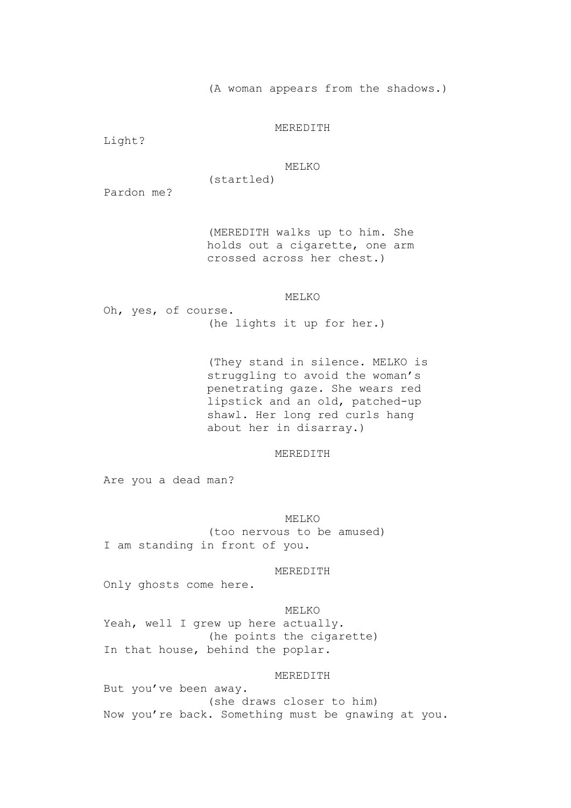(A woman appears from the shadows.)

## MEREDITH

Light?

## MELKO

Pardon me?

(MEREDITH walks up to him. She holds out a cigarette, one arm crossed across her chest.)

## MELKO

Oh, yes, of course. (he lights it up for her.)

(startled)

(They stand in silence. MELKO is struggling to avoid the woman's penetrating gaze. She wears red lipstick and an old, patched-up shawl. Her long red curls hang about her in disarray.)

## MEREDITH

Are you a dead man?

MELKO

(too nervous to be amused) I am standing in front of you.

MEREDITH

Only ghosts come here.

#### MELKO

Yeah, well I grew up here actually. (he points the cigarette) In that house, behind the poplar.

## MEREDITH

But you've been away. (she draws closer to him) Now you're back. Something must be gnawing at you.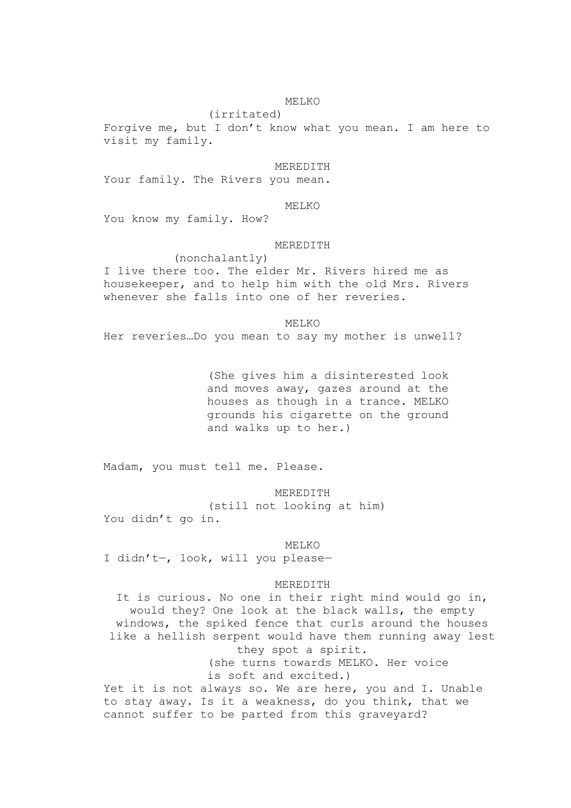# MELKO

(irritated) Forgive me, but I don't know what you mean. I am here to visit my family.

#### MEREDITH

Your family. The Rivers you mean.

### MELKO

You know my family. How?

#### MEREDITH

(nonchalantly) I live there too. The elder Mr. Rivers hired me as housekeeper, and to help him with the old Mrs. Rivers whenever she falls into one of her reveries.

MELKO Her reveries…Do you mean to say my mother is unwell?

> (She gives him a disinterested look and moves away, gazes around at the houses as though in a trance. MELKO grounds his cigarette on the ground and walks up to her.)

Madam, you must tell me. Please.

MEREDITH (still not looking at him) You didn't go in.

MELKO

I didn't—, look, will you please—

#### MEREDITH

It is curious. No one in their right mind would go in, would they? One look at the black walls, the empty windows, the spiked fence that curls around the houses like a hellish serpent would have them running away lest they spot a spirit. (she turns towards MELKO. Her voice is soft and excited.) Yet it is not always so. We are here, you and I. Unable to stay away. Is it a weakness, do you think, that we cannot suffer to be parted from this graveyard?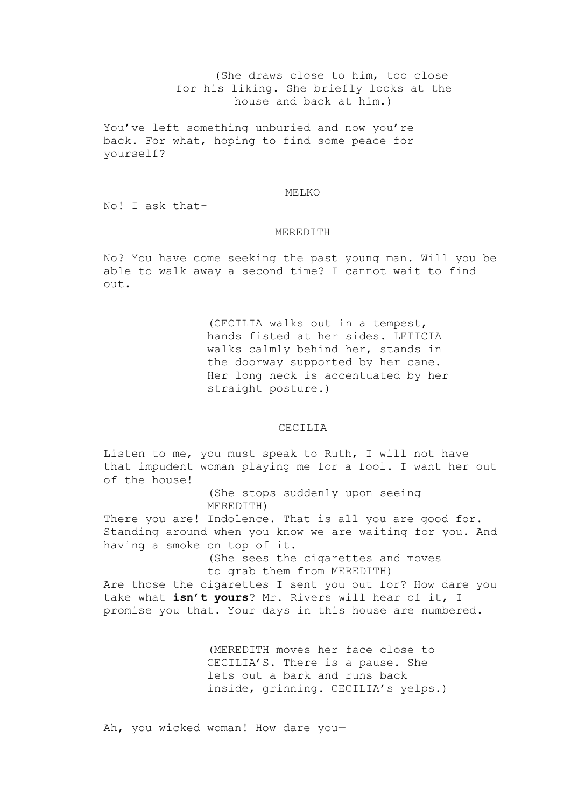(She draws close to him, too close for his liking. She briefly looks at the house and back at him.)

You've left something unburied and now you're back. For what, hoping to find some peace for yourself?

#### MELKO

No! I ask that-

#### MEREDITH

No? You have come seeking the past young man. Will you be able to walk away a second time? I cannot wait to find out.

> (CECILIA walks out in a tempest, hands fisted at her sides. LETICIA walks calmly behind her, stands in the doorway supported by her cane. Her long neck is accentuated by her straight posture.)

## CECILIA

Listen to me, you must speak to Ruth, I will not have that impudent woman playing me for a fool. I want her out of the house!

> (She stops suddenly upon seeing MEREDITH)

There you are! Indolence. That is all you are good for. Standing around when you know we are waiting for you. And having a smoke on top of it.

> (She sees the cigarettes and moves to grab them from MEREDITH)

Are those the cigarettes I sent you out for? How dare you take what **isn't yours**? Mr. Rivers will hear of it, I promise you that. Your days in this house are numbered.

> (MEREDITH moves her face close to CECILIA'S. There is a pause. She lets out a bark and runs back inside, grinning. CECILIA's yelps.)

Ah, you wicked woman! How dare you—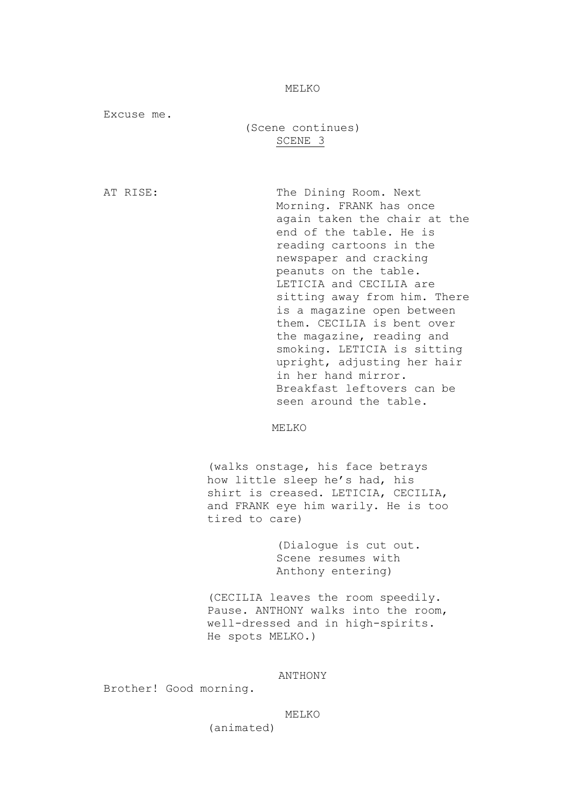MELKO

Excuse me.

(Scene continues) SCENE 3

AT RISE: The Dining Room. Next Morning. FRANK has once again taken the chair at the end of the table. He is reading cartoons in the newspaper and cracking peanuts on the table. LETICIA and CECILIA are sitting away from him. There is a magazine open between them. CECILIA is bent over the magazine, reading and smoking. LETICIA is sitting upright, adjusting her hair in her hand mirror. Breakfast leftovers can be seen around the table.

MELKO

(walks onstage, his face betrays how little sleep he's had, his shirt is creased. LETICIA, CECILIA, and FRANK eye him warily. He is too tired to care)

> (Dialogue is cut out. Scene resumes with Anthony entering)

(CECILIA leaves the room speedily. Pause. ANTHONY walks into the room, well-dressed and in high-spirits. He spots MELKO.)

ANTHONY

Brother! Good morning.

#### MELKO

(animated)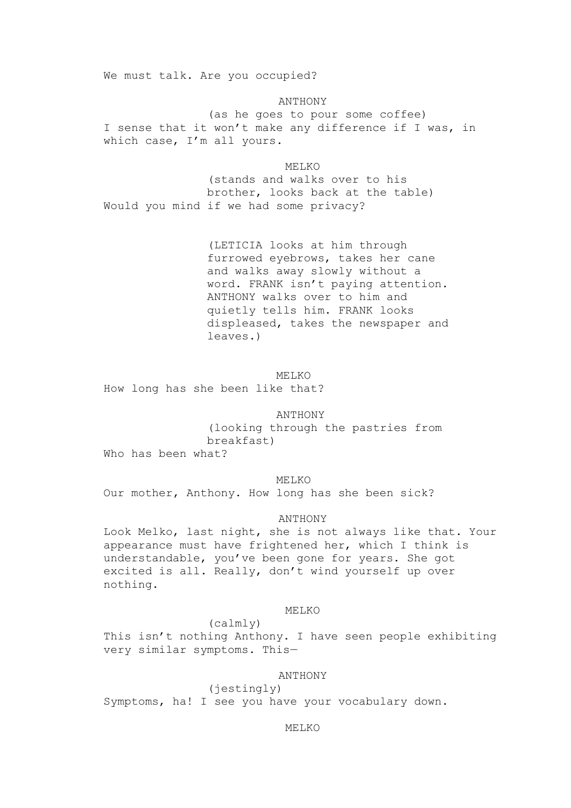We must talk. Are you occupied?

ANTHONY (as he goes to pour some coffee) I sense that it won't make any difference if I was, in which case, I'm all yours.

MELKO (stands and walks over to his brother, looks back at the table) Would you mind if we had some privacy?

> (LETICIA looks at him through furrowed eyebrows, takes her cane and walks away slowly without a word. FRANK isn't paying attention. ANTHONY walks over to him and quietly tells him. FRANK looks displeased, takes the newspaper and leaves.)

MELKO How long has she been like that?

ANTHONY

(looking through the pastries from breakfast)

Who has been what?

MELKO

Our mother, Anthony. How long has she been sick?

ANTHONY

Look Melko, last night, she is not always like that. Your appearance must have frightened her, which I think is understandable, you've been gone for years. She got excited is all. Really, don't wind yourself up over nothing.

MELKO

(calmly) This isn't nothing Anthony. I have seen people exhibiting very similar symptoms. This—

ANTHONY

(jestingly) Symptoms, ha! I see you have your vocabulary down.

MELKO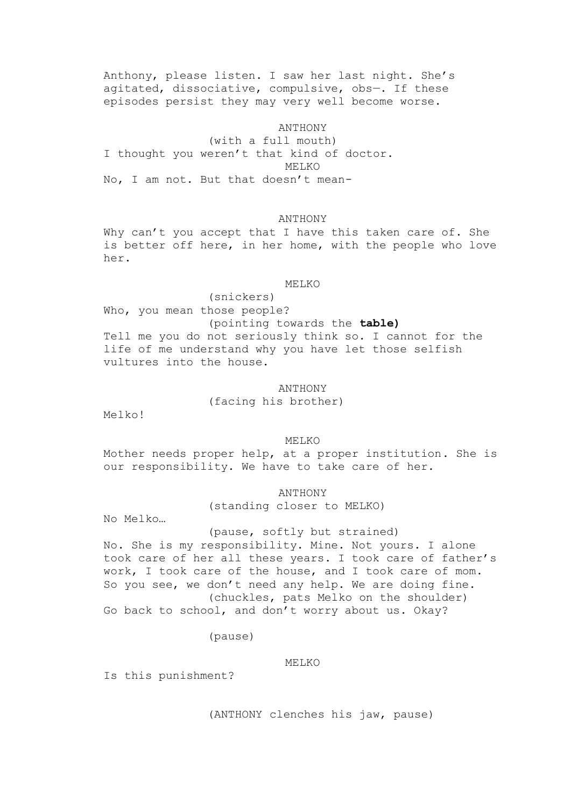Anthony, please listen. I saw her last night. She's agitated, dissociative, compulsive, obs—. If these episodes persist they may very well become worse.

#### ANTHONY

(with a full mouth) I thought you weren't that kind of doctor. MELKO No, I am not. But that doesn't mean-

## ANTHONY

Why can't you accept that I have this taken care of. She is better off here, in her home, with the people who love her.

#### MELKO

(snickers) Who, you mean those people? (pointing towards the **table)** Tell me you do not seriously think so. I cannot for the life of me understand why you have let those selfish vultures into the house.

# ANTHONY (facing his brother)

Melko!

# **MELKO**

Mother needs proper help, at a proper institution. She is our responsibility. We have to take care of her.

ANTHONY

(standing closer to MELKO)

No Melko…

#### (pause, softly but strained)

No. She is my responsibility. Mine. Not yours. I alone took care of her all these years. I took care of father's work, I took care of the house, and I took care of mom. So you see, we don't need any help. We are doing fine. (chuckles, pats Melko on the shoulder) Go back to school, and don't worry about us. Okay?

## (pause)

MELKO

Is this punishment?

(ANTHONY clenches his jaw, pause)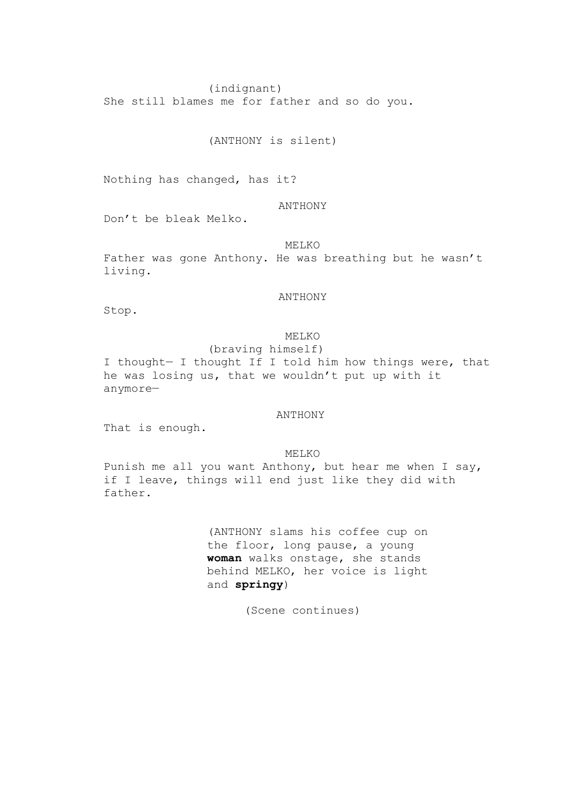(indignant)

She still blames me for father and so do you.

(ANTHONY is silent)

Nothing has changed, has it?

# ANTHONY

Don't be bleak Melko.

MELKO

Father was gone Anthony. He was breathing but he wasn't living.

## ANTHONY

Stop.

# **MELKO**

(braving himself) I thought— I thought If I told him how things were, that he was losing us, that we wouldn't put up with it anymore—

ANTHONY

That is enough.

MELKO

Punish me all you want Anthony, but hear me when I say, if I leave, things will end just like they did with father.

> (ANTHONY slams his coffee cup on the floor, long pause, a young **woman** walks onstage, she stands behind MELKO, her voice is light and **springy**)

> > (Scene continues)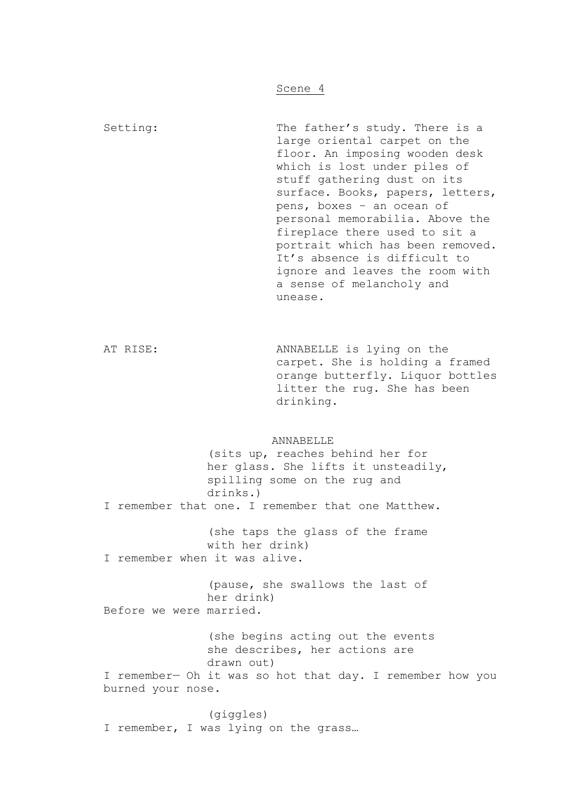Setting: The father's study. There is a large oriental carpet on the floor. An imposing wooden desk which is lost under piles of stuff gathering dust on its surface. Books, papers, letters, pens, boxes – an ocean of personal memorabilia. Above the fireplace there used to sit a portrait which has been removed. It's absence is difficult to ignore and leaves the room with a sense of melancholy and unease.

AT RISE: ANNABELLE is lying on the carpet. She is holding a framed orange butterfly. Liquor bottles litter the rug. She has been drinking.

#### **ANNABELLE**

(sits up, reaches behind her for her glass. She lifts it unsteadily, spilling some on the rug and drinks.) I remember that one. I remember that one Matthew. (she taps the glass of the frame with her drink) I remember when it was alive. (pause, she swallows the last of her drink) Before we were married. (she begins acting out the events she describes, her actions are drawn out) I remember— Oh it was so hot that day. I remember how you burned your nose.

(giggles) I remember, I was lying on the grass…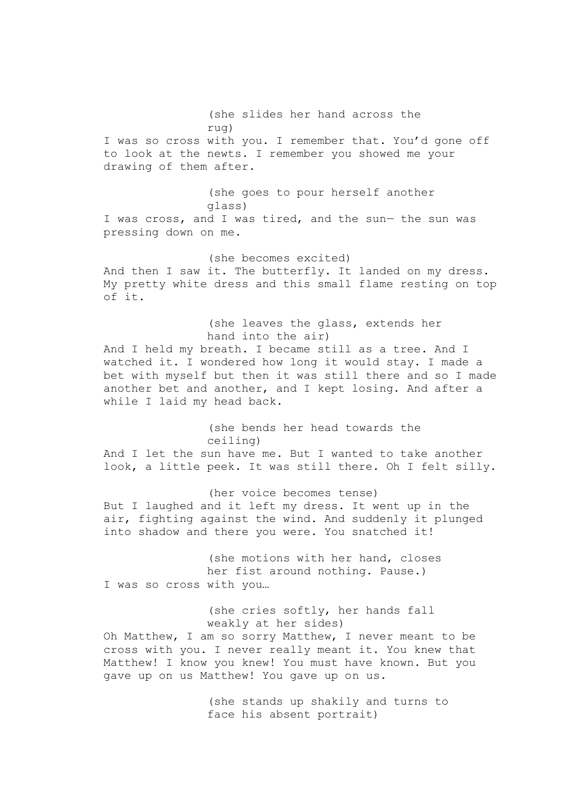(she slides her hand across the rug) I was so cross with you. I remember that. You'd gone off to look at the newts. I remember you showed me your drawing of them after. (she goes to pour herself another glass) I was cross, and I was tired, and the sun— the sun was pressing down on me. (she becomes excited) And then I saw it. The butterfly. It landed on my dress. My pretty white dress and this small flame resting on top of it. (she leaves the glass, extends her hand into the air) And I held my breath. I became still as a tree. And I watched it. I wondered how long it would stay. I made a bet with myself but then it was still there and so I made another bet and another, and I kept losing. And after a while I laid my head back. (she bends her head towards the ceiling) And I let the sun have me. But I wanted to take another look, a little peek. It was still there. Oh I felt silly. (her voice becomes tense) But I laughed and it left my dress. It went up in the air, fighting against the wind. And suddenly it plunged into shadow and there you were. You snatched it! (she motions with her hand, closes her fist around nothing. Pause.) I was so cross with you… (she cries softly, her hands fall weakly at her sides) Oh Matthew, I am so sorry Matthew, I never meant to be cross with you. I never really meant it. You knew that Matthew! I know you knew! You must have known. But you gave up on us Matthew! You gave up on us. (she stands up shakily and turns to face his absent portrait)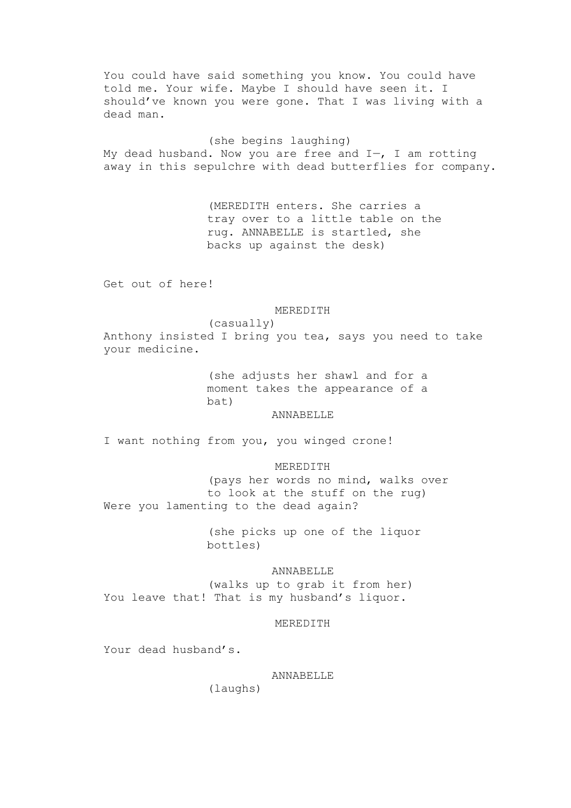You could have said something you know. You could have told me. Your wife. Maybe I should have seen it. I should've known you were gone. That I was living with a dead man.

(she begins laughing) My dead husband. Now you are free and  $I$ -, I am rotting away in this sepulchre with dead butterflies for company.

> (MEREDITH enters. She carries a tray over to a little table on the rug. ANNABELLE is startled, she backs up against the desk)

Get out of here!

#### MEREDITH

(casually) Anthony insisted I bring you tea, says you need to take your medicine.

> (she adjusts her shawl and for a moment takes the appearance of a bat)

> > ANNABELLE

I want nothing from you, you winged crone!

## MEREDITH

(pays her words no mind, walks over to look at the stuff on the rug) Were you lamenting to the dead again?

> (she picks up one of the liquor bottles)

#### ANNABELLE

(walks up to grab it from her) You leave that! That is my husband's liquor.

MEREDITH

Your dead husband's.

ANNABELLE

(laughs)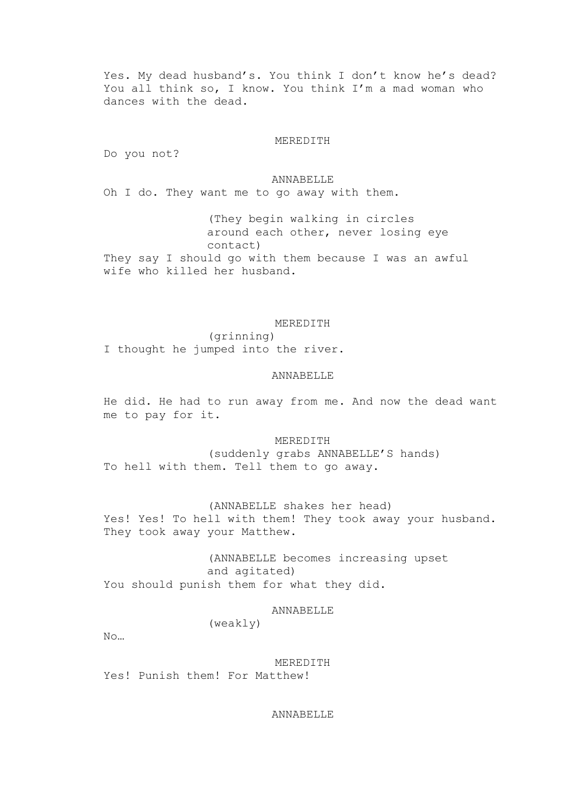Yes. My dead husband's. You think I don't know he's dead? You all think so, I know. You think I'm a mad woman who dances with the dead.

#### MEREDITH

Do you not?

**ANNABELLE** Oh I do. They want me to go away with them.

(They begin walking in circles around each other, never losing eye contact) They say I should go with them because I was an awful wife who killed her husband.

# MEREDITH

(grinning) I thought he jumped into the river.

# ANNABELLE

He did. He had to run away from me. And now the dead want me to pay for it.

MEREDITH (suddenly grabs ANNABELLE'S hands) To hell with them. Tell them to go away.

(ANNABELLE shakes her head) Yes! Yes! To hell with them! They took away your husband. They took away your Matthew.

(ANNABELLE becomes increasing upset and agitated) You should punish them for what they did.

ANNABELLE

(weakly)

No…

MEREDITH Yes! Punish them! For Matthew!

ANNABELLE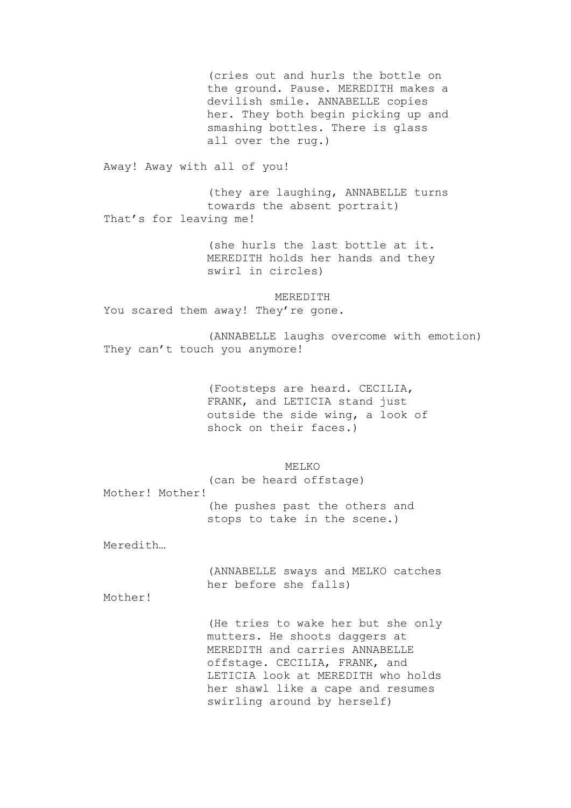(cries out and hurls the bottle on the ground. Pause. MEREDITH makes a devilish smile. ANNABELLE copies her. They both begin picking up and smashing bottles. There is glass all over the rug.) Away! Away with all of you! (they are laughing, ANNABELLE turns towards the absent portrait) That's for leaving me! (she hurls the last bottle at it. MEREDITH holds her hands and they swirl in circles) MEREDITH You scared them away! They're gone. (ANNABELLE laughs overcome with emotion) They can't touch you anymore! (Footsteps are heard. CECILIA, FRANK, and LETICIA stand just outside the side wing, a look of shock on their faces.) MELKO (can be heard offstage) Mother! Mother! (he pushes past the others and stops to take in the scene.) Meredith… (ANNABELLE sways and MELKO catches her before she falls) Mother! (He tries to wake her but she only mutters. He shoots daggers at MEREDITH and carries ANNABELLE offstage. CECILIA, FRANK, and LETICIA look at MEREDITH who holds her shawl like a cape and resumes swirling around by herself)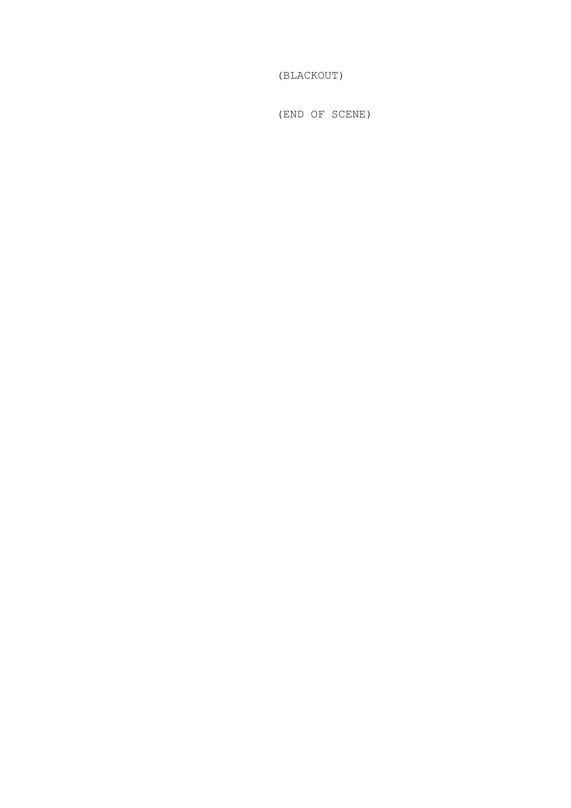(BLACKOUT)

(END OF SCENE)